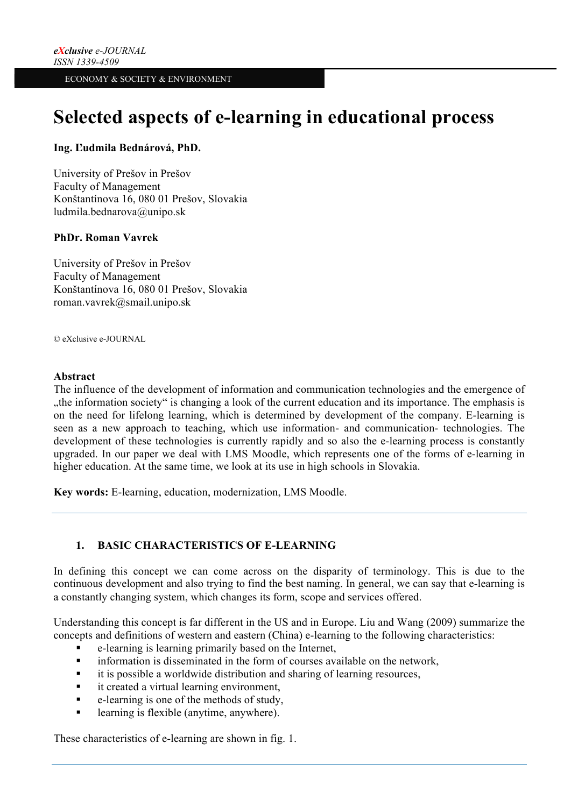# **Selected aspects of e-learning in educational process**

## **Ing. Ľudmila Bednárová, PhD.**

University of Prešov in Prešov Faculty of Management Konštantínova 16, 080 01 Prešov, Slovakia ludmila.bednarova@unipo.sk

## **PhDr. Roman Vavrek**

University of Prešov in Prešov Faculty of Management Konštantínova 16, 080 01 Prešov, Slovakia roman.vavrek@smail.unipo.sk

© eXclusive e-JOURNAL

### **Abstract**

The influence of the development of information and communication technologies and the emergence of "the information society" is changing a look of the current education and its importance. The emphasis is on the need for lifelong learning, which is determined by development of the company. E-learning is seen as a new approach to teaching, which use information- and communication- technologies. The development of these technologies is currently rapidly and so also the e-learning process is constantly upgraded. In our paper we deal with LMS Moodle, which represents one of the forms of e-learning in higher education. At the same time, we look at its use in high schools in Slovakia.

**Key words:** E-learning, education, modernization, LMS Moodle.

## **1. BASIC CHARACTERISTICS OF E-LEARNING**

In defining this concept we can come across on the disparity of terminology. This is due to the continuous development and also trying to find the best naming. In general, we can say that e-learning is a constantly changing system, which changes its form, scope and services offered.

Understanding this concept is far different in the US and in Europe. Liu and Wang (2009) summarize the concepts and definitions of western and eastern (China) e-learning to the following characteristics:

- § e-learning is learning primarily based on the Internet,
- information is disseminated in the form of courses available on the network,
- it is possible a worldwide distribution and sharing of learning resources,
- **•** it created a virtual learning environment,
- § e-learning is one of the methods of study,
- learning is flexible (anytime, anywhere).

These characteristics of e-learning are shown in fig. 1.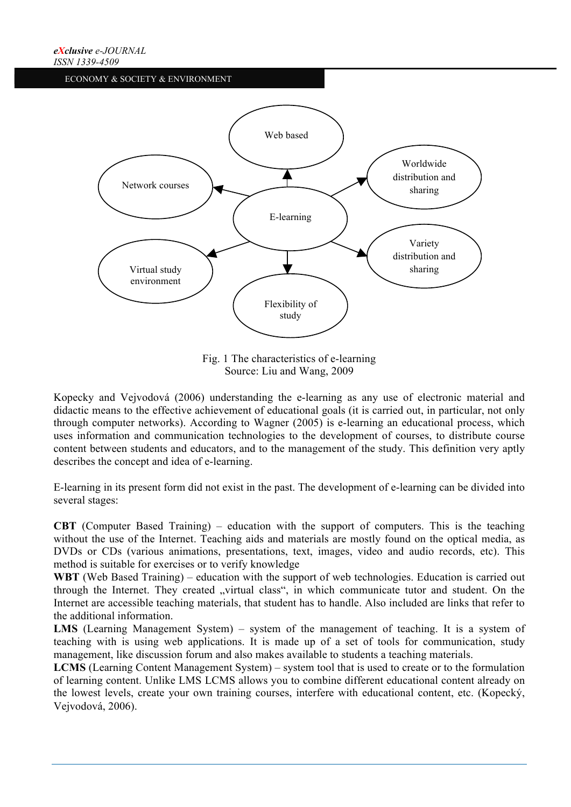

Fig. 1 The characteristics of e-learning Source: Liu and Wang, 2009

Kopecky and Vejvodová (2006) understanding the e-learning as any use of electronic material and didactic means to the effective achievement of educational goals (it is carried out, in particular, not only through computer networks). According to Wagner (2005) is e-learning an educational process, which uses information and communication technologies to the development of courses, to distribute course content between students and educators, and to the management of the study. This definition very aptly describes the concept and idea of e-learning.

E-learning in its present form did not exist in the past. The development of e-learning can be divided into several stages:

**CBT** (Computer Based Training) – education with the support of computers. This is the teaching without the use of the Internet. Teaching aids and materials are mostly found on the optical media, as DVDs or CDs (various animations, presentations, text, images, video and audio records, etc). This method is suitable for exercises or to verify knowledge

**WBT** (Web Based Training) – education with the support of web technologies. Education is carried out through the Internet. They created "virtual class", in which communicate tutor and student. On the Internet are accessible teaching materials, that student has to handle. Also included are links that refer to the additional information.

LMS (Learning Management System) – system of the management of teaching. It is a system of teaching with is using web applications. It is made up of a set of tools for communication, study management, like discussion forum and also makes available to students a teaching materials.

**LCMS** (Learning Content Management System) – system tool that is used to create or to the formulation of learning content. Unlike LMS LCMS allows you to combine different educational content already on the lowest levels, create your own training courses, interfere with educational content, etc. (Kopecký, Vejvodová, 2006).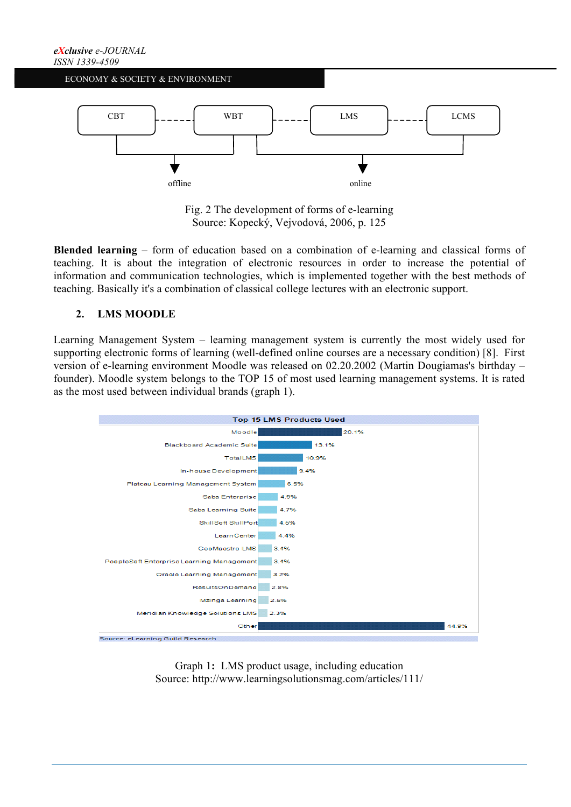

Fig. 2 The development of forms of e-learning Source: Kopecký, Vejvodová, 2006, p. 125

**Blended learning** – form of education based on a combination of e-learning and classical forms of teaching. It is about the integration of electronic resources in order to increase the potential of information and communication technologies, which is implemented together with the best methods of teaching. Basically it's a combination of classical college lectures with an electronic support.

## **2. LMS MOODLE**

Learning Management System – learning management system is currently the most widely used for supporting electronic forms of learning (well-defined online courses are a necessary condition) [8]. First version of e-learning environment Moodle was released on 02.20.2002 (Martin Dougiamas's birthday – founder). Moodle system belongs to the TOP 15 of most used learning management systems. It is rated as the most used between individual brands (graph 1).



Graph 1**:** LMS product usage, including education Source: http://www.learningsolutionsmag.com/articles/111/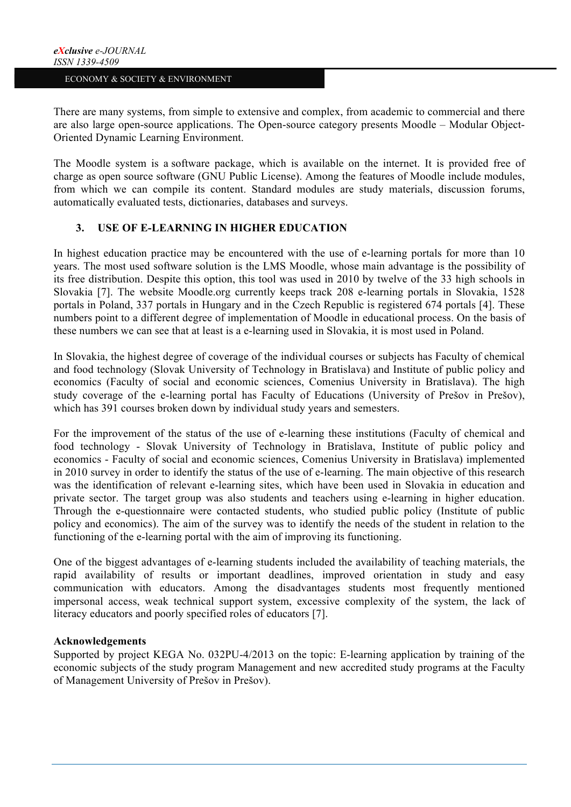There are many systems, from simple to extensive and complex, from academic to commercial and there are also large open-source applications. The Open-source category presents Moodle – Modular Object-Oriented Dynamic Learning Environment.

The Moodle system is a software package, which is available on the internet. It is provided free of charge as open source software (GNU Public License). Among the features of Moodle include modules, from which we can compile its content. Standard modules are study materials, discussion forums, automatically evaluated tests, dictionaries, databases and surveys.

## **3. USE OF E-LEARNING IN HIGHER EDUCATION**

In highest education practice may be encountered with the use of e-learning portals for more than 10 years. The most used software solution is the LMS Moodle, whose main advantage is the possibility of its free distribution. Despite this option, this tool was used in 2010 by twelve of the 33 high schools in Slovakia [7]. The website Moodle.org currently keeps track 208 e-learning portals in Slovakia, 1528 portals in Poland, 337 portals in Hungary and in the Czech Republic is registered 674 portals [4]. These numbers point to a different degree of implementation of Moodle in educational process. On the basis of these numbers we can see that at least is a e-learning used in Slovakia, it is most used in Poland.

In Slovakia, the highest degree of coverage of the individual courses or subjects has Faculty of chemical and food technology (Slovak University of Technology in Bratislava) and Institute of public policy and economics (Faculty of social and economic sciences, Comenius University in Bratislava). The high study coverage of the e-learning portal has Faculty of Educations (University of Prešov in Prešov), which has 391 courses broken down by individual study years and semesters.

For the improvement of the status of the use of e-learning these institutions (Faculty of chemical and food technology - Slovak University of Technology in Bratislava, Institute of public policy and economics - Faculty of social and economic sciences, Comenius University in Bratislava) implemented in 2010 survey in order to identify the status of the use of e-learning. The main objective of this research was the identification of relevant e-learning sites, which have been used in Slovakia in education and private sector. The target group was also students and teachers using e-learning in higher education. Through the e-questionnaire were contacted students, who studied public policy (Institute of public policy and economics). The aim of the survey was to identify the needs of the student in relation to the functioning of the e-learning portal with the aim of improving its functioning.

One of the biggest advantages of e-learning students included the availability of teaching materials, the rapid availability of results or important deadlines, improved orientation in study and easy communication with educators. Among the disadvantages students most frequently mentioned impersonal access, weak technical support system, excessive complexity of the system, the lack of literacy educators and poorly specified roles of educators [7].

#### **Acknowledgements**

Supported by project KEGA No. 032PU-4/2013 on the topic: E-learning application by training of the economic subjects of the study program Management and new accredited study programs at the Faculty of Management University of Prešov in Prešov).